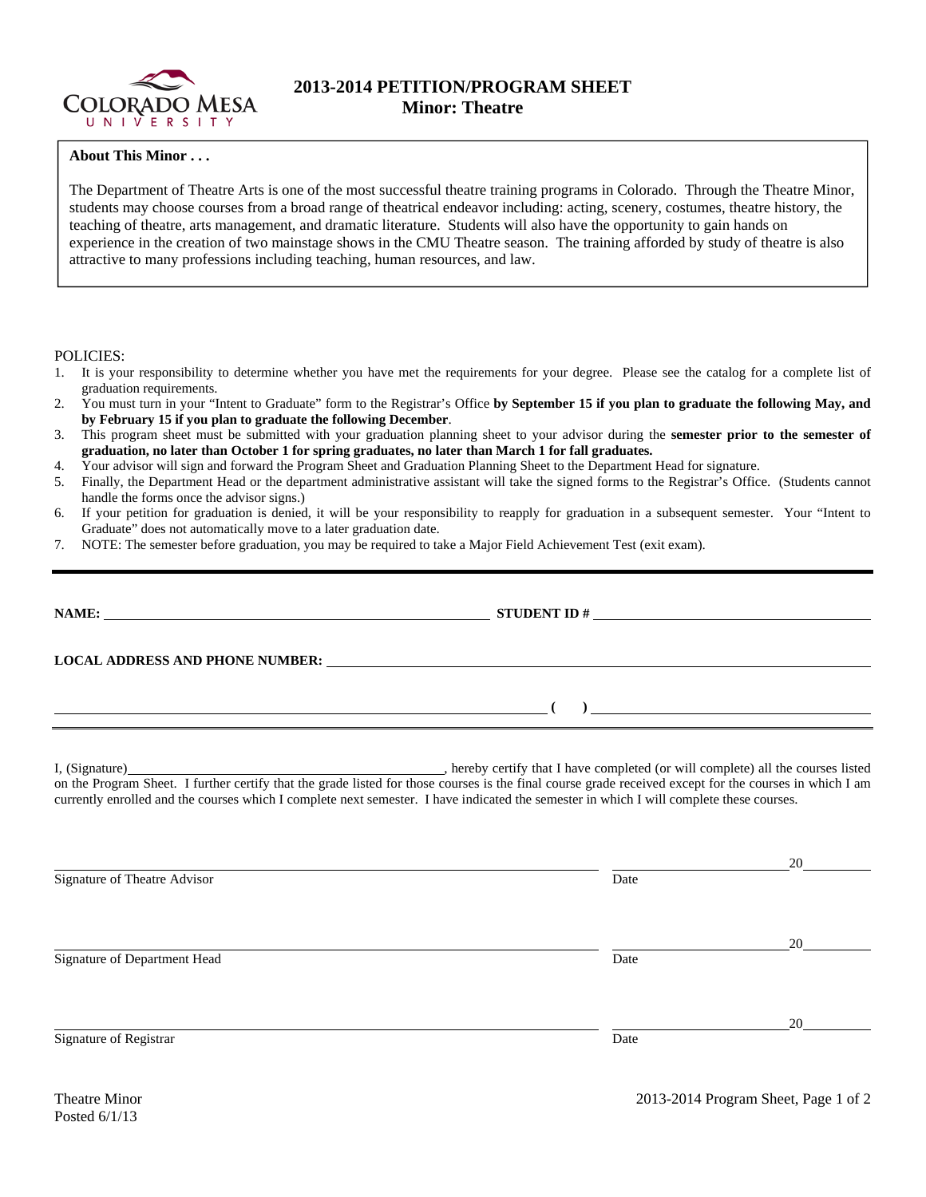

## **2013-2014 PETITION/PROGRAM SHEET Minor: Theatre**

## **About This Minor . . .**

The Department of Theatre Arts is one of the most successful theatre training programs in Colorado. Through the Theatre Minor, students may choose courses from a broad range of theatrical endeavor including: acting, scenery, costumes, theatre history, the teaching of theatre, arts management, and dramatic literature. Students will also have the opportunity to gain hands on experience in the creation of two mainstage shows in the CMU Theatre season. The training afforded by study of theatre is also attractive to many professions including teaching, human resources, and law.

POLICIES:

- 1. It is your responsibility to determine whether you have met the requirements for your degree. Please see the catalog for a complete list of graduation requirements.
- 2. You must turn in your "Intent to Graduate" form to the Registrar's Office **by September 15 if you plan to graduate the following May, and by February 15 if you plan to graduate the following December**.
- 3. This program sheet must be submitted with your graduation planning sheet to your advisor during the **semester prior to the semester of graduation, no later than October 1 for spring graduates, no later than March 1 for fall graduates.**
- 4. Your advisor will sign and forward the Program Sheet and Graduation Planning Sheet to the Department Head for signature.
- 5. Finally, the Department Head or the department administrative assistant will take the signed forms to the Registrar's Office. (Students cannot handle the forms once the advisor signs.)
- 6. If your petition for graduation is denied, it will be your responsibility to reapply for graduation in a subsequent semester. Your "Intent to Graduate" does not automatically move to a later graduation date.
- 7. NOTE: The semester before graduation, you may be required to take a Major Field Achievement Test (exit exam).

| <u> 1989 - Johann Stoff, amerikansk politiker (d. 1989)</u> | $\overline{a}$ ( ) and the contract of $\overline{a}$ ( ) and the contract of $\overline{a}$ ( ) and the contract of $\overline{a}$                                                                                                                                                                 |            |
|-------------------------------------------------------------|-----------------------------------------------------------------------------------------------------------------------------------------------------------------------------------------------------------------------------------------------------------------------------------------------------|------------|
|                                                             | on the Program Sheet. I further certify that the grade listed for those courses is the final course grade received except for the courses in which I am<br>currently enrolled and the courses which I complete next semester. I have indicated the semester in which I will complete these courses. |            |
| Signature of Theatre Advisor                                | Date                                                                                                                                                                                                                                                                                                | 20         |
| Signature of Department Head                                | Date                                                                                                                                                                                                                                                                                                | $20 \quad$ |
|                                                             |                                                                                                                                                                                                                                                                                                     | 20         |